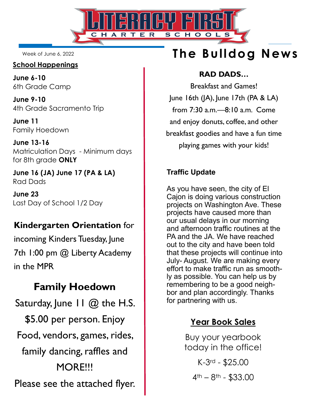

Week of June 6, 2022

#### **School Happenings**

**June 6-10**  6th Grade Camp

**June 9-10**  4th Grade Sacramento Trip

**June 11**  Family Hoedown

**June 13-16**  Matriculation Days - Minimum days for 8th grade **ONLY**

**June 16 (JA) June 17 (PA & LA)**  Rad Dads

**June 23**  Last Day of School 1/2 Day

## **Kindergarten Orientation** for

incoming Kinders Tuesday, June 7th 1:00 pm @ Liberty Academy in the MPR

# **Family Hoedown**

Saturday, June  $H \mathbb{Q}$  the H.S. \$5.00 per person. Enjoy Food, vendors, games, rides, family dancing, raffles and MORE!!! Please see the attached flyer.

# **The Bulldog News**

#### **RAD DADS…**

Breakfast and Games! June 16th (JA), June 17th (PA & LA) from 7:30 a.m.—8:10 a.m. Come and enjoy donuts, coffee, and other breakfast goodies and have a fun time playing games with your kids!

#### **Traffic Update**

As you have seen, the city of El Cajon is doing various construction projects on Washington Ave. These projects have caused more than our usual delays in our morning and afternoon traffic routines at the PA and the JA. We have reached out to the city and have been told that these projects will continue into July- August. We are making every effort to make traffic run as smoothly as possible. You can help us by remembering to be a good neighbor and plan accordingly. Thanks for partnering with us.

## **Year Book Sales**

Buy your yearbook today in the office! K-3rd - \$25.00  $4$ <sup>th</sup> –  $8$ <sup>th</sup> – \$33.00